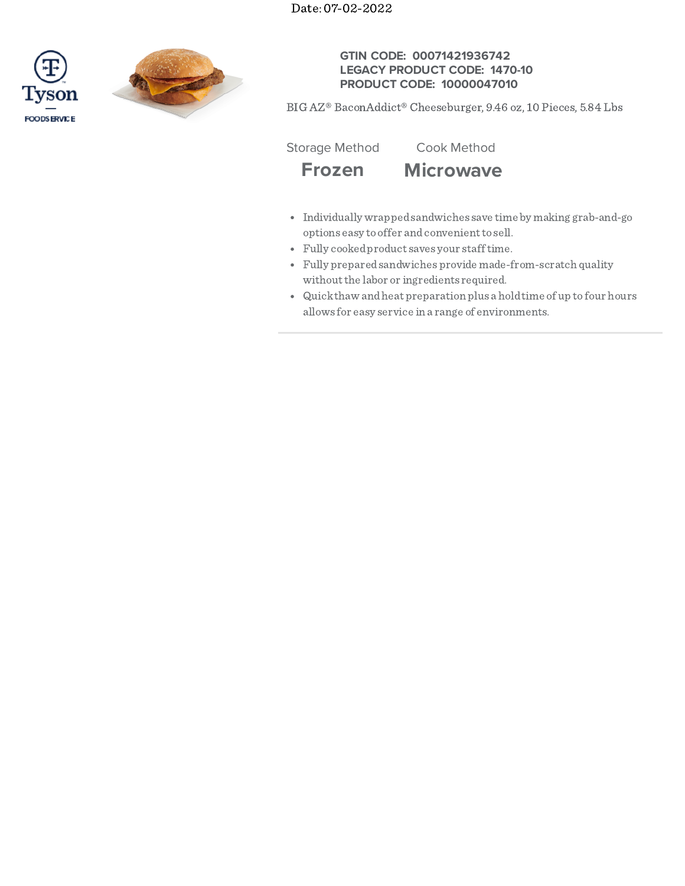Date: 07-02-2022





## **GTIN CODE: 00071421936742 LEGACY PRODUCT CODE: 1470-10 PRODUCT CODE: 10000047010**

BIG AZ® BaconAddict® Cheeseburger, 9.46 oz, 10 Pieces, 5.84 Lbs

Storage Method Cook Method

# **Frozen Microwave**

- Individually wrappedsandwiches save time by making grab-and-go options easy to offer and convenient to sell.
- Fully cookedproduct saves your stafftime.
- Fully preparedsandwiches provide made-from-scratch quality withoutthe labor or ingredients required.
- Quickthaw andheat preparation plus a holdtime of up to four hours allows for easy service in a range of environments.